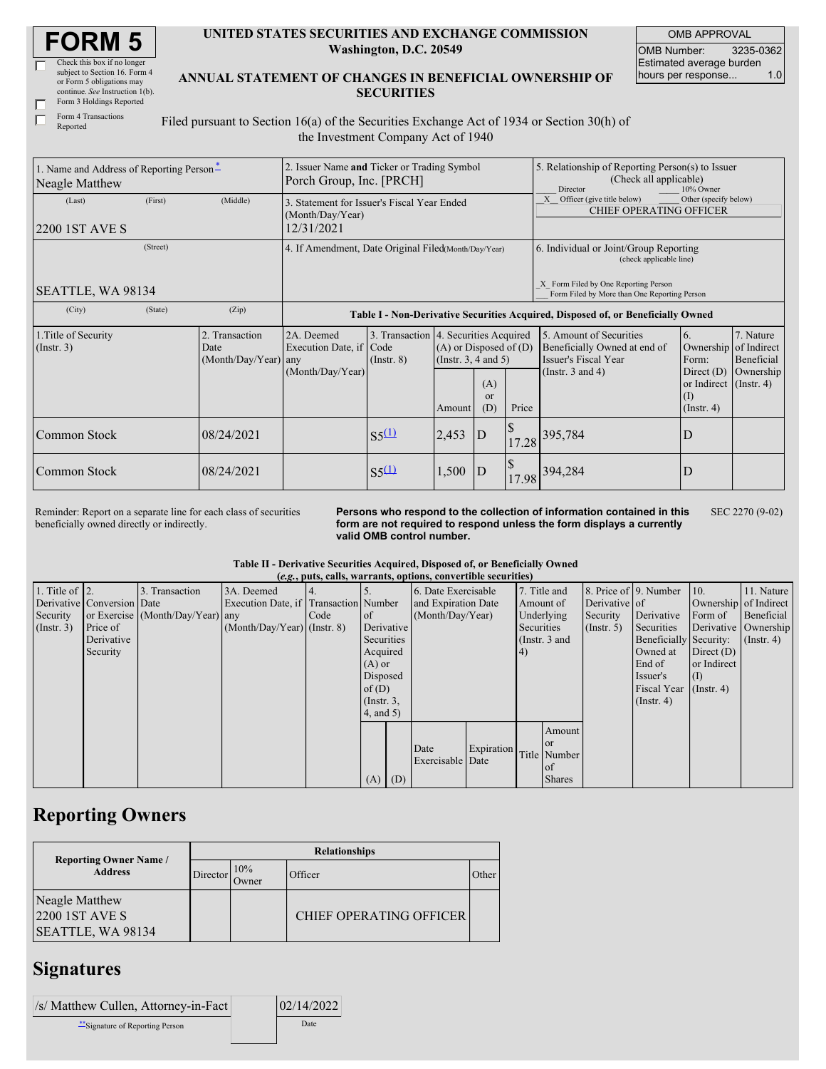| <b>FORM 5</b> |  |
|---------------|--|
|---------------|--|

| Check this box if no longer     |
|---------------------------------|
| subject to Section 16. Form 4   |
| or Form 5 obligations may       |
| continue. See Instruction 1(b). |
| Form 3 Holdings Reported        |

| Form 3 Holdings Repo |
|----------------------|
| Form 4 Transactions  |
|                      |

Reported

#### **UNITED STATES SECURITIES AND EXCHANGE COMMISSION Washington, D.C. 20549**

OMB APPROVAL OMB Number: 3235-0362 Estimated average burden hours per response... 1.0

**ANNUAL STATEMENT OF CHANGES IN BENEFICIAL OWNERSHIP OF SECURITIES**

Filed pursuant to Section 16(a) of the Securities Exchange Act of 1934 or Section 30(h) of the Investment Company Act of 1940

| 1. Name and Address of Reporting Person-<br>Neagle Matthew |          |                                                      | 2. Issuer Name and Ticker or Trading Symbol<br>Porch Group, Inc. [PRCH]       |                    |                                                                                                                                     |                                                                                  |       | 5. Relationship of Reporting Person(s) to Issuer<br>(Check all applicable)<br>10% Owner<br>Director      |                                                                                               |                                                     |  |
|------------------------------------------------------------|----------|------------------------------------------------------|-------------------------------------------------------------------------------|--------------------|-------------------------------------------------------------------------------------------------------------------------------------|----------------------------------------------------------------------------------|-------|----------------------------------------------------------------------------------------------------------|-----------------------------------------------------------------------------------------------|-----------------------------------------------------|--|
| (Last)<br>2200 1ST AVE S                                   | (First)  | (Middle)                                             | 3. Statement for Issuer's Fiscal Year Ended<br>(Month/Day/Year)<br>12/31/2021 |                    |                                                                                                                                     |                                                                                  |       | X Officer (give title below)<br>Other (specify below)<br><b>CHIEF OPERATING OFFICER</b>                  |                                                                                               |                                                     |  |
|                                                            | (Street) | 4. If Amendment, Date Original Filed(Month/Day/Year) |                                                                               |                    |                                                                                                                                     |                                                                                  |       | 6. Individual or Joint/Group Reporting<br>(check applicable line)                                        |                                                                                               |                                                     |  |
| SEATTLE, WA 98134                                          |          |                                                      |                                                                               |                    |                                                                                                                                     |                                                                                  |       | X Form Filed by One Reporting Person<br>Form Filed by More than One Reporting Person                     |                                                                                               |                                                     |  |
| (City)                                                     | (State)  | (Zip)                                                |                                                                               |                    |                                                                                                                                     | Table I - Non-Derivative Securities Acquired, Disposed of, or Beneficially Owned |       |                                                                                                          |                                                                                               |                                                     |  |
| 1. Title of Security<br>$($ Instr. 3 $)$                   |          | 2. Transaction<br>Date<br>$(Month/Day/Year)$ any     | 2A. Deemed<br>Execution Date, if Code<br>(Month/Day/Year)                     | $($ Instr. $8)$    | 3. Transaction 4. Securities Acquired<br>$(A)$ or Disposed of $(D)$<br>(Instr. $3, 4$ and $5$ )<br>(A)<br>$\alpha$<br>(D)<br>Amount |                                                                                  | Price | 5. Amount of Securities<br>Beneficially Owned at end of<br>Issuer's Fiscal Year<br>(Instr. $3$ and $4$ ) | 6.<br>Ownership<br>Form:<br>Direct $(D)$<br>or Indirect (Instr. 4)<br>(1)<br>$($ Instr. 4 $)$ | 7. Nature<br>of Indirect<br>Beneficial<br>Ownership |  |
| Common Stock                                               |          | 08/24/2021                                           |                                                                               | S <sub>5</sub> (1) | 2,453<br>ID                                                                                                                         |                                                                                  | 17.28 | 395,784                                                                                                  | D                                                                                             |                                                     |  |
| Common Stock                                               |          | 08/24/2021                                           |                                                                               | S <sub>5</sub> (1) | $\boldsymbol{\mathsf{S}}$<br>1,500<br> D                                                                                            |                                                                                  | 17.98 | 394,284                                                                                                  | D                                                                                             |                                                     |  |

Reminder: Report on a separate line for each class of securities beneficially owned directly or indirectly.

**Persons who respond to the collection of information contained in this form are not required to respond unless the form displays a currently valid OMB control number.** SEC 2270 (9-02)

#### **Table II - Derivative Securities Acquired, Disposed of, or Beneficially Owned (***e.g.***, puts, calls, warrants, options, convertible securities)**

|                        | $(0.5)$ puts, cans, wall alles, options, convertible securities |                                  |                                       |      |                |  |                     |            |            |                 |                       |                        |                       |                   |
|------------------------|-----------------------------------------------------------------|----------------------------------|---------------------------------------|------|----------------|--|---------------------|------------|------------|-----------------|-----------------------|------------------------|-----------------------|-------------------|
| 1. Title of $\vert$ 2. |                                                                 | 3. Transaction                   | 3A. Deemed                            | 4.   |                |  | 6. Date Exercisable |            |            | 7. Title and    | 8. Price of 9. Number |                        | 10.                   | 11. Nature        |
|                        | Derivative Conversion Date                                      |                                  | Execution Date, if Transaction Number |      |                |  | and Expiration Date |            |            | Amount of       | Derivative of         |                        | Ownership of Indirect |                   |
| Security               |                                                                 | or Exercise (Month/Day/Year) any |                                       | Code | <sub>of</sub>  |  | (Month/Day/Year)    |            |            | Underlying      | Security              | Derivative             | Form of               | <b>Beneficial</b> |
| $($ Instr. 3 $)$       | Price of                                                        |                                  | $(Month/Day/Year)$ (Instr. 8)         |      | Derivative     |  |                     |            | Securities |                 | (Insert, 5)           | Securities             | Derivative Ownership  |                   |
|                        | Derivative                                                      |                                  |                                       |      | Securities     |  |                     |            |            | (Instr. $3$ and |                       | Beneficially Security: |                       | $($ Instr. 4 $)$  |
|                        | Security                                                        |                                  |                                       |      | Acquired       |  |                     |            | 4)         |                 |                       | Owned at               | Direct $(D)$          |                   |
|                        |                                                                 |                                  |                                       |      | $(A)$ or       |  |                     |            |            |                 |                       | End of                 | or Indirect           |                   |
|                        |                                                                 |                                  |                                       |      | Disposed       |  |                     |            |            |                 |                       | Issuer's               | (1)                   |                   |
|                        |                                                                 |                                  |                                       |      | of $(D)$       |  |                     |            |            |                 |                       | <b>Fiscal Year</b>     | $($ Instr. 4)         |                   |
|                        |                                                                 |                                  |                                       |      | $($ Instr. 3,  |  |                     |            |            |                 |                       | $($ Instr. 4 $)$       |                       |                   |
|                        |                                                                 |                                  |                                       |      | $4$ , and $5)$ |  |                     |            |            |                 |                       |                        |                       |                   |
|                        |                                                                 |                                  |                                       |      |                |  |                     |            |            | Amount          |                       |                        |                       |                   |
|                        |                                                                 |                                  |                                       |      |                |  |                     |            |            | l or            |                       |                        |                       |                   |
|                        |                                                                 |                                  |                                       |      |                |  | Date                | Expiration |            | Title Number    |                       |                        |                       |                   |
|                        |                                                                 |                                  |                                       |      |                |  | Exercisable Date    |            |            | of              |                       |                        |                       |                   |
|                        |                                                                 |                                  |                                       |      | $(A)$ $(D)$    |  |                     |            |            | <b>Shares</b>   |                       |                        |                       |                   |

# **Reporting Owners**

| <b>Reporting Owner Name /</b>                           | <b>Relationships</b> |              |                                |       |  |  |  |
|---------------------------------------------------------|----------------------|--------------|--------------------------------|-------|--|--|--|
| <b>Address</b>                                          | Director             | 10%<br>Owner | Officer                        | Other |  |  |  |
| Neagle Matthew<br>$2200$ 1ST AVE S<br>SEATTLE, WA 98134 |                      |              | <b>CHIEF OPERATING OFFICER</b> |       |  |  |  |

# **Signatures**

| /s/ Matthew Cullen, Attorney-in-Fact | 02/14/2022 |
|--------------------------------------|------------|
| Signature of Reporting Person        | Date       |